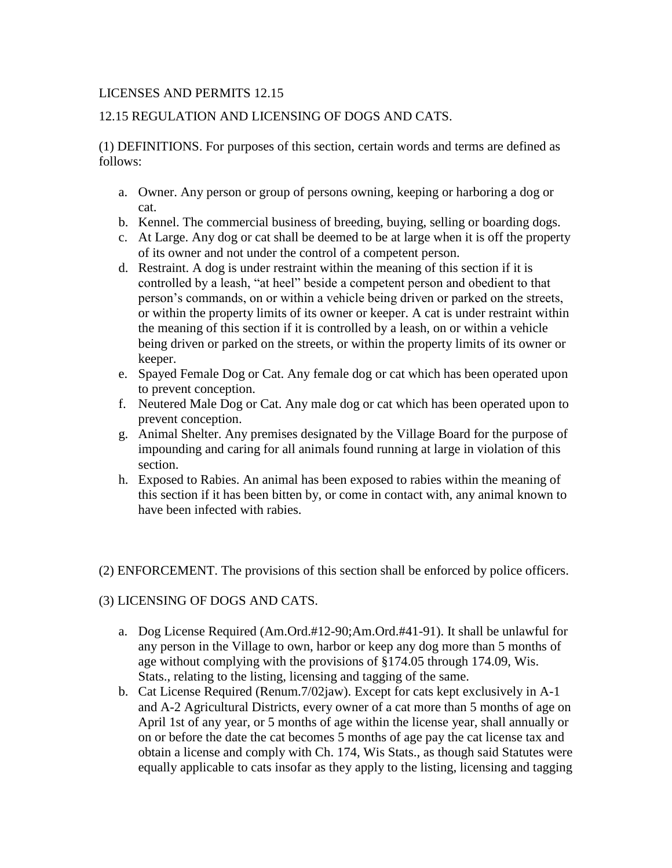## LICENSES AND PERMITS 12.15

# 12.15 REGULATION AND LICENSING OF DOGS AND CATS.

(1) DEFINITIONS. For purposes of this section, certain words and terms are defined as follows:

- a. Owner. Any person or group of persons owning, keeping or harboring a dog or cat.
- b. Kennel. The commercial business of breeding, buying, selling or boarding dogs.
- c. At Large. Any dog or cat shall be deemed to be at large when it is off the property of its owner and not under the control of a competent person.
- d. Restraint. A dog is under restraint within the meaning of this section if it is controlled by a leash, "at heel" beside a competent person and obedient to that person's commands, on or within a vehicle being driven or parked on the streets, or within the property limits of its owner or keeper. A cat is under restraint within the meaning of this section if it is controlled by a leash, on or within a vehicle being driven or parked on the streets, or within the property limits of its owner or keeper.
- e. Spayed Female Dog or Cat. Any female dog or cat which has been operated upon to prevent conception.
- f. Neutered Male Dog or Cat. Any male dog or cat which has been operated upon to prevent conception.
- g. Animal Shelter. Any premises designated by the Village Board for the purpose of impounding and caring for all animals found running at large in violation of this section.
- h. Exposed to Rabies. An animal has been exposed to rabies within the meaning of this section if it has been bitten by, or come in contact with, any animal known to have been infected with rabies.

(2) ENFORCEMENT. The provisions of this section shall be enforced by police officers.

## (3) LICENSING OF DOGS AND CATS.

- a. Dog License Required (Am.Ord.#12-90;Am.Ord.#41-91). It shall be unlawful for any person in the Village to own, harbor or keep any dog more than 5 months of age without complying with the provisions of §174.05 through 174.09, Wis. Stats., relating to the listing, licensing and tagging of the same.
- b. Cat License Required (Renum.7/02jaw). Except for cats kept exclusively in A-1 and A-2 Agricultural Districts, every owner of a cat more than 5 months of age on April 1st of any year, or 5 months of age within the license year, shall annually or on or before the date the cat becomes 5 months of age pay the cat license tax and obtain a license and comply with Ch. 174, Wis Stats., as though said Statutes were equally applicable to cats insofar as they apply to the listing, licensing and tagging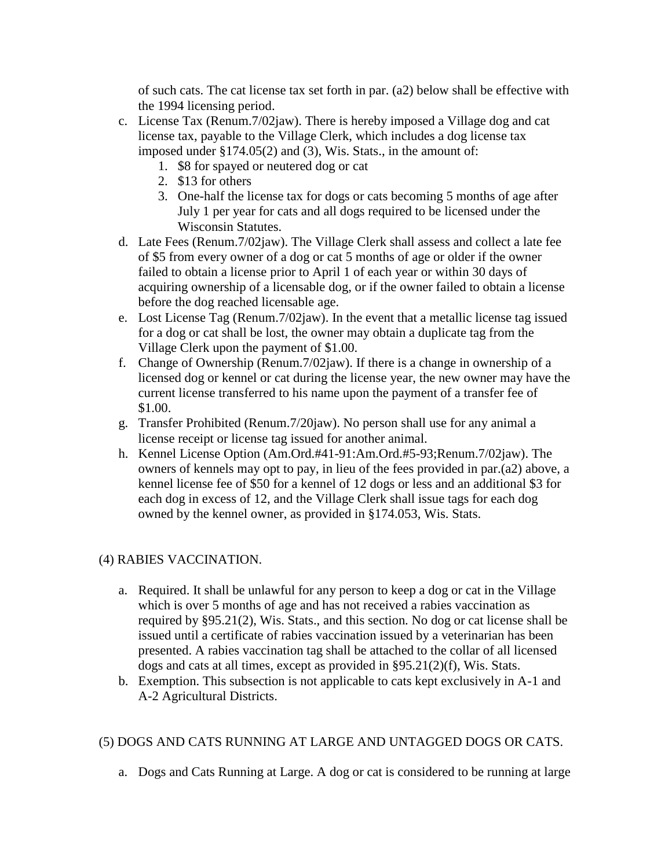of such cats. The cat license tax set forth in par. (a2) below shall be effective with the 1994 licensing period.

- c. License Tax (Renum.7/02jaw). There is hereby imposed a Village dog and cat license tax, payable to the Village Clerk, which includes a dog license tax imposed under §174.05(2) and (3), Wis. Stats., in the amount of:
	- 1. \$8 for spayed or neutered dog or cat
	- 2. \$13 for others
	- 3. One-half the license tax for dogs or cats becoming 5 months of age after July 1 per year for cats and all dogs required to be licensed under the Wisconsin Statutes.
- d. Late Fees (Renum.7/02jaw). The Village Clerk shall assess and collect a late fee of \$5 from every owner of a dog or cat 5 months of age or older if the owner failed to obtain a license prior to April 1 of each year or within 30 days of acquiring ownership of a licensable dog, or if the owner failed to obtain a license before the dog reached licensable age.
- e. Lost License Tag (Renum.7/02jaw). In the event that a metallic license tag issued for a dog or cat shall be lost, the owner may obtain a duplicate tag from the Village Clerk upon the payment of \$1.00.
- f. Change of Ownership (Renum.7/02jaw). If there is a change in ownership of a licensed dog or kennel or cat during the license year, the new owner may have the current license transferred to his name upon the payment of a transfer fee of \$1.00.
- g. Transfer Prohibited (Renum.7/20jaw). No person shall use for any animal a license receipt or license tag issued for another animal.
- h. Kennel License Option (Am.Ord.#41-91:Am.Ord.#5-93;Renum.7/02jaw). The owners of kennels may opt to pay, in lieu of the fees provided in par.(a2) above, a kennel license fee of \$50 for a kennel of 12 dogs or less and an additional \$3 for each dog in excess of 12, and the Village Clerk shall issue tags for each dog owned by the kennel owner, as provided in §174.053, Wis. Stats.

## (4) RABIES VACCINATION.

- a. Required. It shall be unlawful for any person to keep a dog or cat in the Village which is over 5 months of age and has not received a rabies vaccination as required by §95.21(2), Wis. Stats., and this section. No dog or cat license shall be issued until a certificate of rabies vaccination issued by a veterinarian has been presented. A rabies vaccination tag shall be attached to the collar of all licensed dogs and cats at all times, except as provided in §95.21(2)(f), Wis. Stats.
- b. Exemption. This subsection is not applicable to cats kept exclusively in A-1 and A-2 Agricultural Districts.

## (5) DOGS AND CATS RUNNING AT LARGE AND UNTAGGED DOGS OR CATS.

a. Dogs and Cats Running at Large. A dog or cat is considered to be running at large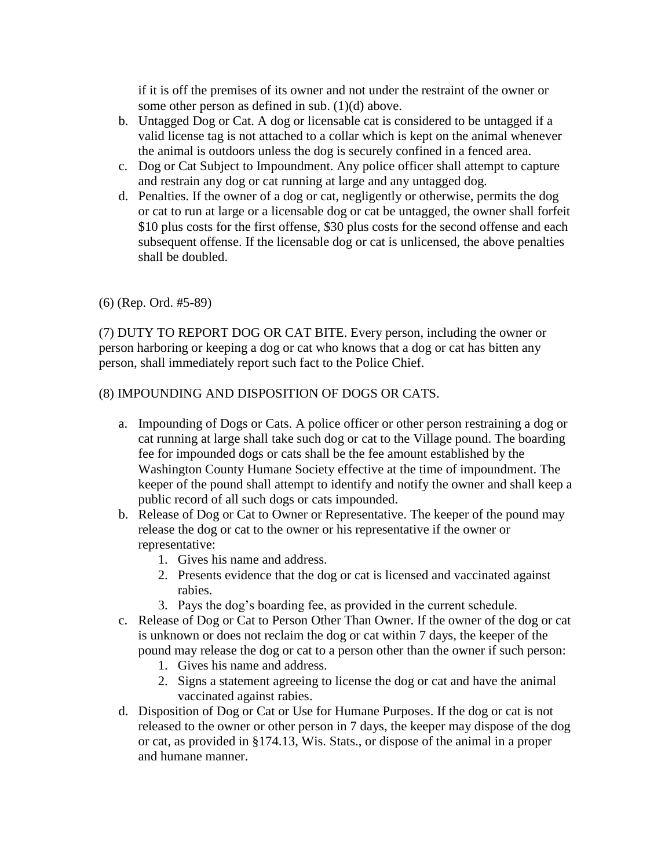if it is off the premises of its owner and not under the restraint of the owner or some other person as defined in sub. (1)(d) above.

- b. Untagged Dog or Cat. A dog or licensable cat is considered to be untagged if a valid license tag is not attached to a collar which is kept on the animal whenever the animal is outdoors unless the dog is securely confined in a fenced area.
- c. Dog or Cat Subject to Impoundment. Any police officer shall attempt to capture and restrain any dog or cat running at large and any untagged dog.
- d. Penalties. If the owner of a dog or cat, negligently or otherwise, permits the dog or cat to run at large or a licensable dog or cat be untagged, the owner shall forfeit \$10 plus costs for the first offense, \$30 plus costs for the second offense and each subsequent offense. If the licensable dog or cat is unlicensed, the above penalties shall be doubled.

(6) (Rep. Ord. #5-89)

(7) DUTY TO REPORT DOG OR CAT BITE. Every person, including the owner or person harboring or keeping a dog or cat who knows that a dog or cat has bitten any person, shall immediately report such fact to the Police Chief.

### (8) IMPOUNDING AND DISPOSITION OF DOGS OR CATS.

- a. Impounding of Dogs or Cats. A police officer or other person restraining a dog or cat running at large shall take such dog or cat to the Village pound. The boarding fee for impounded dogs or cats shall be the fee amount established by the Washington County Humane Society effective at the time of impoundment. The keeper of the pound shall attempt to identify and notify the owner and shall keep a public record of all such dogs or cats impounded.
- b. Release of Dog or Cat to Owner or Representative. The keeper of the pound may release the dog or cat to the owner or his representative if the owner or representative:
	- 1. Gives his name and address.
	- 2. Presents evidence that the dog or cat is licensed and vaccinated against rabies.
	- 3. Pays the dog's boarding fee, as provided in the current schedule.
- c. Release of Dog or Cat to Person Other Than Owner. If the owner of the dog or cat is unknown or does not reclaim the dog or cat within 7 days, the keeper of the pound may release the dog or cat to a person other than the owner if such person:
	- 1. Gives his name and address.
	- 2. Signs a statement agreeing to license the dog or cat and have the animal vaccinated against rabies.
- d. Disposition of Dog or Cat or Use for Humane Purposes. If the dog or cat is not released to the owner or other person in 7 days, the keeper may dispose of the dog or cat, as provided in §174.13, Wis. Stats., or dispose of the animal in a proper and humane manner.